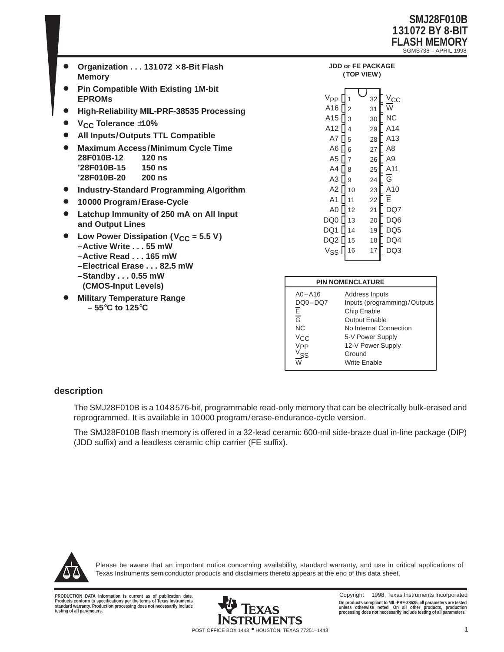

- $\bullet$  **Organization . . . 131072** × **8-Bit Flash Memory**
- $\bullet$  **Pin Compatible With Existing 1M-bit EPROMs**
- $\bullet$ **High-Reliability MIL-PRF-38535 Processing**
- $\bullet$ **VCC Tolerance** ±**10%**
- $\bullet$ **All Inputs/Outputs TTL Compatible**
- $\bullet$  **Maximum Access/Minimum Cycle Time 28F010B-12 120 ns '28F010B-15 150 ns '28F010B-20 200 ns**
- $\bullet$ **Industry-Standard Programming Algorithm**
- $\bullet$ **10000 Program/Erase-Cycle**
- $\bullet$  **Latchup Immunity of 250 mA on All Input and Output Lines**
- $\bullet$ Low Power Dissipation (V<sub>CC</sub> = 5.5 V) **–Active Write . . . 55 mW –Active Read... 165 mW –Electrical Erase... 82.5 mW**
	- **–Standby . . . 0.55 mW**
	- **(CMOS-Input Levels)**
	-
- $\bullet$  **Military Temperature Range – 55**°**C to 125**°**C**

| PACKAGE<br>(TOP VIEW)                                                                                                             |                                                                                                                 |                                                                                        |                                                                                                                                       |  |  |  |  |  |  |  |
|-----------------------------------------------------------------------------------------------------------------------------------|-----------------------------------------------------------------------------------------------------------------|----------------------------------------------------------------------------------------|---------------------------------------------------------------------------------------------------------------------------------------|--|--|--|--|--|--|--|
| V <sub>PP</sub><br>A16<br>A15<br>A12<br>A7<br>A6<br>A <sub>5</sub><br>A4<br>A3<br>A2<br>A1<br>A <sub>0</sub><br>DQ0<br>DQ1<br>DQ2 | $\overline{c}$<br>3<br>$\overline{4}$<br>5<br>6<br>$\overline{7}$<br>8<br>9<br>10<br>11<br>12<br>13<br>14<br>15 | 32<br>31<br>30<br>29<br>28<br>27<br>26<br>25<br>24<br>23<br>22<br>21<br>20<br>19<br>18 | $V_{\rm CC}$<br>W<br><b>NC</b><br>A14<br>A13<br>A8<br>A <sub>9</sub><br>A11<br>$\overline{G}$<br>A10<br>Ē<br>DQ7<br>DQ6<br>DQ5<br>DQ4 |  |  |  |  |  |  |  |
| V <sub>SS</sub>                                                                                                                   | 16                                                                                                              | 17                                                                                     | DQ3                                                                                                                                   |  |  |  |  |  |  |  |

**JDD or FE PACKAGE**

| <b>PIN NOMENCLATURE</b> |                              |  |  |  |  |  |  |
|-------------------------|------------------------------|--|--|--|--|--|--|
| $AO - A16$              | Address Inputs               |  |  |  |  |  |  |
| DQ0-DQ7                 | Inputs (programming)/Outputs |  |  |  |  |  |  |
| Ē                       | Chip Enable                  |  |  |  |  |  |  |
| $\bar{\bar{G}}$         | <b>Output Enable</b>         |  |  |  |  |  |  |
| <b>NC</b>               | No Internal Connection       |  |  |  |  |  |  |
| Vcc                     | 5-V Power Supply             |  |  |  |  |  |  |
| Vpp                     | 12-V Power Supply            |  |  |  |  |  |  |
| <sup>V</sup> ss         | Ground                       |  |  |  |  |  |  |
|                         | Write Enable                 |  |  |  |  |  |  |

#### **description**

The SMJ28F010B is a 1048576-bit, programmable read-only memory that can be electrically bulk-erased and reprogrammed. It is available in 10000 program/erase-endurance-cycle version.

The SMJ28F010B flash memory is offered in a 32-lead ceramic 600-mil side-braze dual in-line package (DIP) (JDD suffix) and a leadless ceramic chip carrier (FE suffix).



Please be aware that an important notice concerning availability, standard warranty, and use in critical applications of Texas Instruments semiconductor products and disclaimers thereto appears at the end of this data sheet.

**PRODUCTION DATA information is current as of publication date. Products conform to specifications per the terms of Texas Instruments standard warranty. Production processing does not necessarily include testing of all parameters.**



Copyright © 1998, Texas Instruments Incorporated **On products compliant to MIL-PRF-38535, all parameters are tested unless otherwise noted. On all other products, production processing does not necessarily include testing of all parameters.**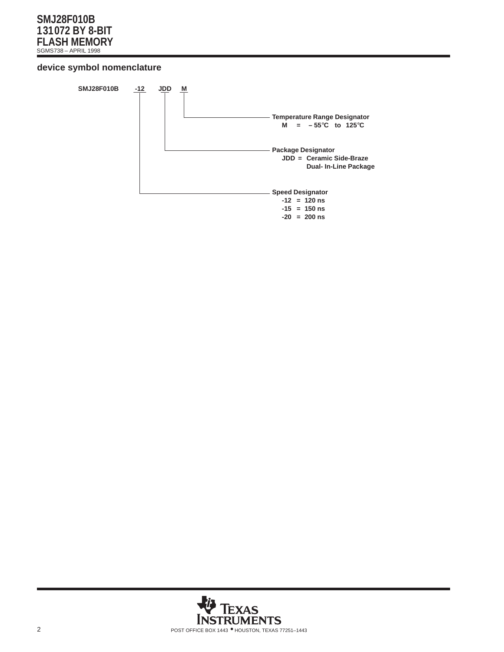## **device symbol nomenclature**



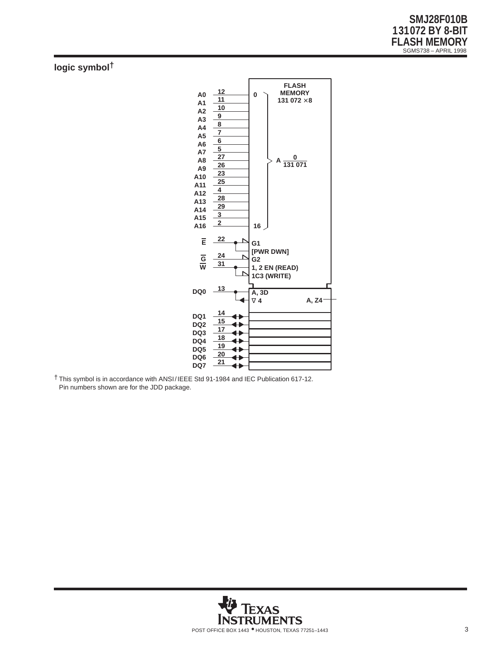# **logic symbol†**



† This symbol is in accordance with ANSI/IEEE Std 91-1984 and IEC Publication 617-12. Pin numbers shown are for the JDD package.

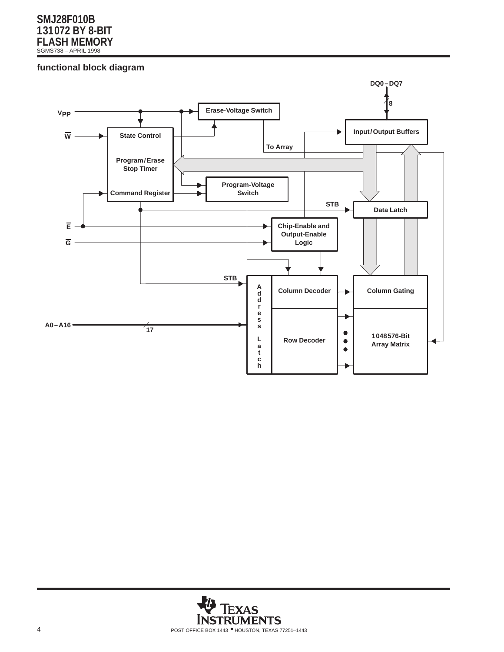## **functional block diagram**



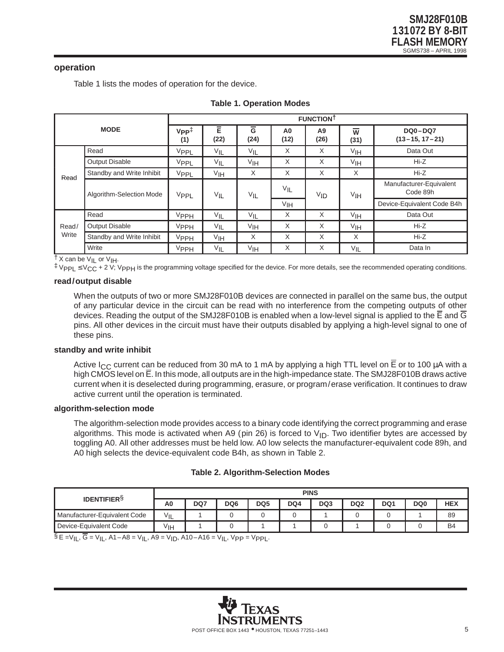## **operation**

Table 1 lists the modes of operation for the device.

| <b>MODE</b> |                           |                            | <b>FUNCTIONT</b>  |                        |                 |                        |                        |                                        |  |  |  |
|-------------|---------------------------|----------------------------|-------------------|------------------------|-----------------|------------------------|------------------------|----------------------------------------|--|--|--|
|             |                           | $V_{PP}^{\ddagger}$<br>(1) | Ē<br>(22)         | $\overline{G}$<br>(24) | A0<br>(12)      | A <sub>9</sub><br>(26) | $\overline{w}$<br>(31) | <b>DQ0-DQ7</b><br>$(13 - 15, 17 - 21)$ |  |  |  |
|             | Read                      | VPPL                       | $V_{\mathsf{IL}}$ | $V_{\mathsf{IL}}$      | X               | X                      | V <sub>IH</sub>        | Data Out                               |  |  |  |
|             | <b>Output Disable</b>     | VPPL                       | $V_{IL}$          | V <sub>IH</sub>        | X               | X                      | V <sub>IH</sub>        | $Hi-Z$                                 |  |  |  |
| Read        | Standby and Write Inhibit | VPPL                       | VIH               | X                      | X               | X                      | X                      | $Hi-Z$                                 |  |  |  |
|             | Algorithm-Selection Mode  | VPPL                       | $V_{IL}$          | $V_{IL}$               | $V_{IL}$        | VID                    | V <sub>IH</sub>        | Manufacturer-Equivalent<br>Code 89h    |  |  |  |
|             |                           |                            |                   |                        | V <sub>IH</sub> |                        |                        | Device-Equivalent Code B4h             |  |  |  |
|             | Read                      | VPPH                       | $V_{IL}$          | $V_{IL}$               | X               | X                      | V <sub>IH</sub>        | Data Out                               |  |  |  |
| Read/       | <b>Output Disable</b>     | VPPH                       | $V_{\mathsf{IL}}$ | VIH                    | X               | X                      | V <sub>IH</sub>        | $Hi-Z$                                 |  |  |  |
| Write       | Standby and Write Inhibit | VPPH                       | VIH               | X                      | X               | X                      | X                      | $Hi-Z$                                 |  |  |  |
|             | Write                     | <b>VPPH</b>                | $V_{\mathsf{IL}}$ | VIH                    | X               | X                      | $V_{IL}$               | Data In                                |  |  |  |

|  |  |  | <b>Table 1. Operation Modes</b> |  |
|--|--|--|---------------------------------|--|
|--|--|--|---------------------------------|--|

† X can be V<sub>IL</sub> or V<sub>IH</sub>.<br>‡ V<sub>PPL</sub> ≤ V<sub>CC</sub> + 2 V; V<sub>PPH</sub> is the programming voltage specified for the device. For more details, see the recommended operating conditions.

#### **read/output disable**

When the outputs of two or more SMJ28F010B devices are connected in parallel on the same bus, the output of any particular device in the circuit can be read with no interference from the competing outputs of other devices. Reading the output of the SMJ28F010B is enabled when a low-level signal is applied to the  $\overline{\text{E}}$  and  $\overline{\text{G}}$ pins. All other devices in the circuit must have their outputs disabled by applying a high-level signal to one of these pins.

#### **standby and write inhibit**

Active I<sub>CC</sub> current can be reduced from 30 mA to 1 mA by applying a high TTL level on  $\overline{E}$  or to 100 µA with a high CMOS level on E. In this mode, all outputs are in the high-impedance state. The SMJ28F010B draws active current when it is deselected during programming, erasure, or program/erase verification. It continues to draw active current until the operation is terminated.

## **algorithm-selection mode**

The algorithm-selection mode provides access to a binary code identifying the correct programming and erase algorithms. This mode is activated when A9 (pin 26) is forced to  $V_{ID}$ . Two identifier bytes are accessed by toggling A0. All other addresses must be held low. A0 low selects the manufacturer-equivalent code 89h, and A0 high selects the device-equivalent code B4h, as shown in Table 2.

#### **Table 2. Algorithm-Selection Modes**

|                              |                 |     |                 |                 | <b>PINS</b> |     |                 |     |                 |            |
|------------------------------|-----------------|-----|-----------------|-----------------|-------------|-----|-----------------|-----|-----------------|------------|
| <b>IDENTIFIERS</b>           | A <sub>0</sub>  | DQ7 | DQ <sub>6</sub> | DQ <sub>5</sub> | DQ4         | DQ3 | DQ <sub>2</sub> | DQ1 | DQ <sub>0</sub> | <b>HEX</b> |
| Manufacturer-Equivalent Code | $V_{IL}$        |     |                 |                 |             |     |                 |     |                 | 89         |
| Device-Equivalent Code<br>_  | V <sub>IH</sub> |     |                 |                 |             |     |                 |     |                 | <b>B4</b>  |

 $\S$  E =V<sub>IL</sub>,  $\overline{G}$  = V<sub>IL</sub>, A1–A8 = V<sub>IL</sub>, A9 = V<sub>ID</sub>, A10–A16 = V<sub>IL</sub>, Vpp = Vpp<sub>L</sub>.

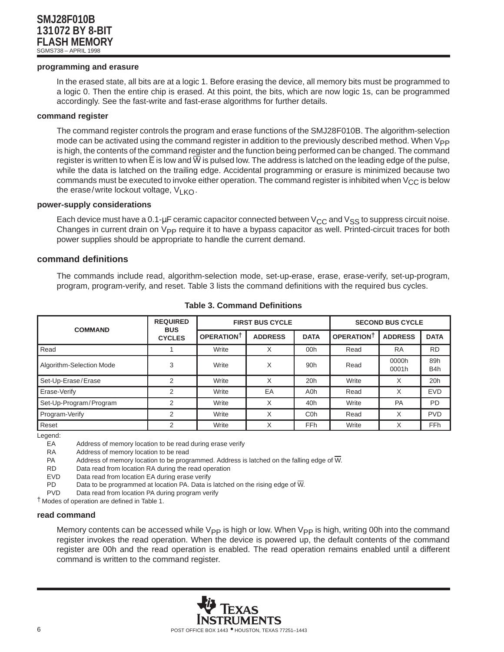#### **programming and erasure**

In the erased state, all bits are at a logic 1. Before erasing the device, all memory bits must be programmed to a logic 0. Then the entire chip is erased. At this point, the bits, which are now logic 1s, can be programmed accordingly. See the fast-write and fast-erase algorithms for further details.

#### **command register**

The command register controls the program and erase functions of the SMJ28F010B. The algorithm-selection mode can be activated using the command register in addition to the previously described method. When  $V_{\text{PP}}$ is high, the contents of the command register and the function being performed can be changed. The command register is written to when  $\overline{E}$  is low and  $\overline{W}$  is pulsed low. The address is latched on the leading edge of the pulse, while the data is latched on the trailing edge. Accidental programming or erasure is minimized because two commands must be executed to invoke either operation. The command register is inhibited when  $V_{CC}$  is below the erase/write lockout voltage,  $V_{LKO}$ .

#### **power-supply considerations**

Each device must have a 0.1-µF ceramic capacitor connected between  $V_{CC}$  and  $V_{SS}$  to suppress circuit noise. Changes in current drain on V<sub>PP</sub> require it to have a bypass capacitor as well. Printed-circuit traces for both power supplies should be appropriate to handle the current demand.

#### **command definitions**

The commands include read, algorithm-selection mode, set-up-erase, erase, erase-verify, set-up-program, program, program-verify, and reset. Table 3 lists the command definitions with the required bus cycles.

| <b>COMMAND</b>           | <b>REQUIRED</b><br><b>BUS</b> |                   | <b>FIRST BUS CYCLE</b> | <b>SECOND BUS CYCLE</b> |                   |                |                         |
|--------------------------|-------------------------------|-------------------|------------------------|-------------------------|-------------------|----------------|-------------------------|
|                          | <b>CYCLES</b>                 | <b>OPERATIONT</b> | <b>ADDRESS</b>         | <b>DATA</b>             | <b>OPERATIONT</b> | <b>ADDRESS</b> | <b>DATA</b>             |
| Read                     |                               | Write             | X                      | 00h                     | Read              | <b>RA</b>      | <b>RD</b>               |
| Algorithm-Selection Mode | 3                             | Write             | X                      | 90 <sub>h</sub>         | Read              | 0000h<br>0001h | 89h<br>B <sub>4</sub> h |
| Set-Up-Erase/Erase       | 2                             | Write             | Χ                      | 20h                     | Write             | X              | 20h                     |
| Erase-Verify             | 2                             | Write             | EA                     | A0h                     | Read              | X              | <b>EVD</b>              |
| Set-Up-Program/Program   | 2                             | Write             | X                      | 40h                     | Write             | PA             | <b>PD</b>               |
| Program-Verify           | $\overline{2}$                | Write             | X                      | C <sub>0</sub> h        | Read              | X              | <b>PVD</b>              |
| Reset                    | 2                             | Write             | Χ                      | FF <sub>h</sub>         | Write             | X              | <b>FFh</b>              |

**Table 3. Command Definitions**

Legend:

EA Address of memory location to be read during erase verify

RA Address of memory location to be read

PA Address of memory location to be programmed. Address is latched on the falling edge of  $\overline{W}$ .

RD Data read from location RA during the read operation

EVD Data read from location EA during erase verify

PD Data to be programmed at location PA. Data is latched on the rising edge of  $\overline{W}$ .<br>PVD Data read from location PA during program verify

Data read from location PA during program verify

† Modes of operation are defined in Table 1.

#### **read command**

Memory contents can be accessed while  $V_{\text{PP}}$  is high or low. When  $V_{\text{PP}}$  is high, writing 00h into the command register invokes the read operation. When the device is powered up, the default contents of the command register are 00h and the read operation is enabled. The read operation remains enabled until a different command is written to the command register.

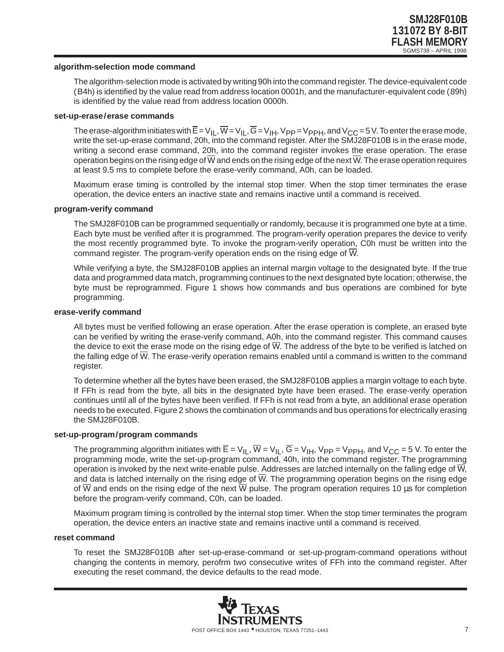#### **algorithm-selection mode command**

The algorithm-selection mode is activated by writing 90h into the command register. The device-equivalent code (B4h) is identified by the value read from address location 0001h, and the manufacturer-equivalent code (89h) is identified by the value read from address location 0000h.

#### **set-up-erase/erase commands**

The erase-algorithm initiates with  $\overline{E} = V_{|L},$   $\overline{W} = V_{|L},$   $\overline{G} = V_{|H}$ ,  $V_{PP} = V_{PPH}$ , and  $V_{CC} = 5$  V. To enter the erase mode, write the set-up-erase command, 20h, into the command register. After the SMJ28F010B is in the erase mode, writing a second erase command, 20h, into the command register invokes the erase operation. The erase operation begins on the rising edge of  $\overline{W}$  and ends on the rising edge of the next  $\overline{W}$ . The erase operation requires at least 9.5 ms to complete before the erase-verify command, A0h, can be loaded.

Maximum erase timing is controlled by the internal stop timer. When the stop timer terminates the erase operation, the device enters an inactive state and remains inactive until a command is received.

#### **program-verify command**

The SMJ28F010B can be programmed sequentially or randomly, because it is programmed one byte at a time. Each byte must be verified after it is programmed. The program-verify operation prepares the device to verify the most recently programmed byte. To invoke the program-verify operation, C0h must be written into the command register. The program-verify operation ends on the rising edge of  $\overline{W}$ .

While verifying a byte, the SMJ28F010B applies an internal margin voltage to the designated byte. If the true data and programmed data match, programming continues to the next designated byte location; otherwise, the byte must be reprogrammed. Figure 1 shows how commands and bus operations are combined for byte programming.

#### **erase-verify command**

All bytes must be verified following an erase operation. After the erase operation is complete, an erased byte can be verified by writing the erase-verify command, A0h, into the command register. This command causes the device to exit the erase mode on the rising edge of  $\overline{W}$ . The address of the byte to be verified is latched on the falling edge of W. The erase-verify operation remains enabled until a command is written to the command register.

To determine whether all the bytes have been erased, the SMJ28F010B applies a margin voltage to each byte. If FFh is read from the byte, all bits in the designated byte have been erased. The erase-verify operation continues until all of the bytes have been verified. If FFh is not read from a byte, an additional erase operation needs to be executed. Figure 2 shows the combination of commands and bus operations for electrically erasing the SMJ28F010B.

#### **set-up-program/program commands**

The programming algorithm initiates with  $\overline{E} = V_{IL}$ ,  $\overline{W} = V_{IL}$ ,  $\overline{G} = V_{IH}$ ,  $V_{PP} = V_{PPH}$ , and  $V_{CC} = 5$  V. To enter the programming mode, write the set-up-program command, 40h, into the command register. The programming operation is invoked by the next write-enable pulse. Addresses are latched internally on the falling edge of  $\overline{W}$ , and data is latched internally on the rising edge of W. The programming operation begins on the rising edge of  $\overline{W}$  and ends on the rising edge of the next  $\overline{W}$  pulse. The program operation requires 10 µs for completion before the program-verify command, C0h, can be loaded.

Maximum program timing is controlled by the internal stop timer. When the stop timer terminates the program operation, the device enters an inactive state and remains inactive until a command is received.

#### **reset command**

To reset the SMJ28F010B after set-up-erase-command or set-up-program-command operations without changing the contents in memory, perofrm two consecutive writes of FFh into the command register. After executing the reset command, the device defaults to the read mode.

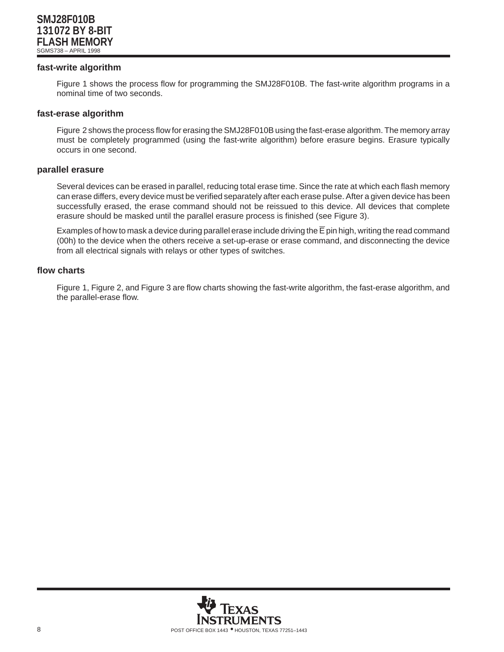#### **fast-write algorithm**

Figure 1 shows the process flow for programming the SMJ28F010B. The fast-write algorithm programs in a nominal time of two seconds.

#### **fast-erase algorithm**

Figure 2 shows the process flow for erasing the SMJ28F010B using the fast-erase algorithm. The memory array must be completely programmed (using the fast-write algorithm) before erasure begins. Erasure typically occurs in one second.

#### **parallel erasure**

Several devices can be erased in parallel, reducing total erase time. Since the rate at which each flash memory can erase differs, every device must be verified separately after each erase pulse. After a given device has been successfully erased, the erase command should not be reissued to this device. All devices that complete erasure should be masked until the parallel erasure process is finished (see Figure 3).

Examples of how to mask a device during parallel erase include driving the  $\overline{E}$  pin high, writing the read command (00h) to the device when the others receive a set-up-erase or erase command, and disconnecting the device from all electrical signals with relays or other types of switches.

#### **flow charts**

Figure 1, Figure 2, and Figure 3 are flow charts showing the fast-write algorithm, the fast-erase algorithm, and the parallel-erase flow.

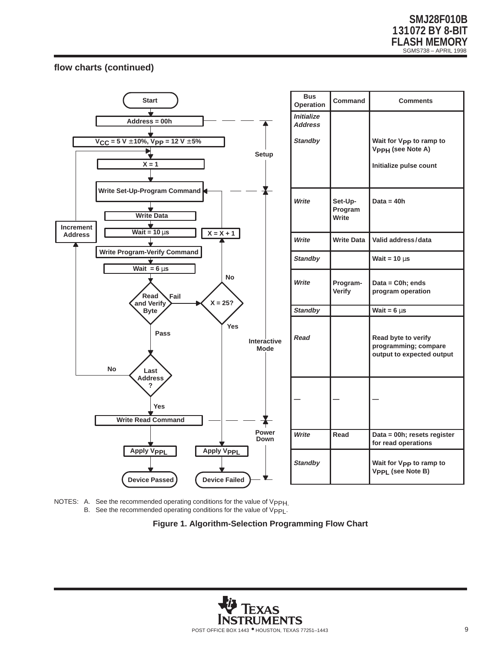## **flow charts (continued)**



NOTES: A. See the recommended operating conditions for the value of VppH. B. See the recommended operating conditions for the value of Vpp<sub>L</sub>.

**Figure 1. Algorithm-Selection Programming Flow Chart**

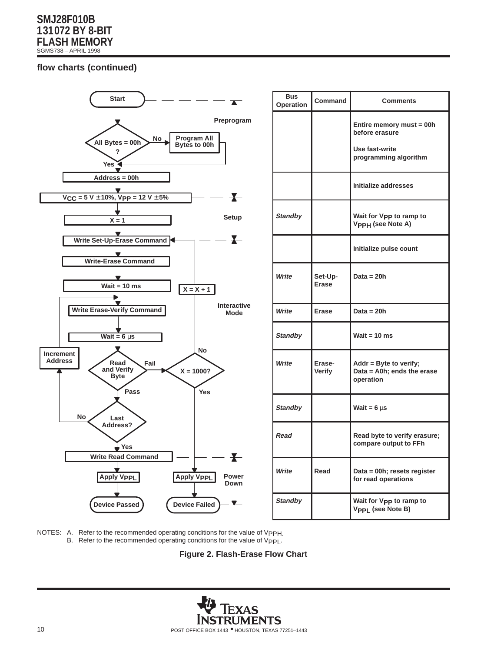## **flow charts (continued)**



| <b>Bus</b><br>Operation | Command                 | <b>Comments</b>                                                      |
|-------------------------|-------------------------|----------------------------------------------------------------------|
|                         |                         | Entire memory must = 00h<br>before erasure                           |
|                         |                         | Use fast-write<br>programming algorithm                              |
|                         |                         | Initialize addresses                                                 |
| <b>Standby</b>          |                         | Wait for V <sub>PP</sub> to ramp to<br>V <sub>PPH</sub> (see Note A) |
|                         |                         | Initialize pulse count                                               |
| Write                   | Set-Up-<br><b>Erase</b> | Data = $20h$                                                         |
| Write                   | <b>Erase</b>            | Data = $20h$                                                         |
| <b>Standby</b>          |                         | Wait = $10$ ms                                                       |
| Write                   | Erase-<br><b>Verify</b> | $Addr = Byte to verify;$<br>Data = A0h; ends the erase<br>operation  |
| <b>Standby</b>          |                         | Wait = $6 \mu s$                                                     |
| Read                    |                         | Read byte to verify erasure;<br>compare output to FFh                |
| Write                   | Read                    | Data = 00h; resets register<br>for read operations                   |
| <b>Standby</b>          |                         | Wait for V <sub>PP</sub> to ramp to<br>Vpp <sub>L</sub> (see Note B) |

NOTES: A. Refer to the recommended operating conditions for the value of VppH. B. Refer to the recommended operating conditions for the value of Vpp



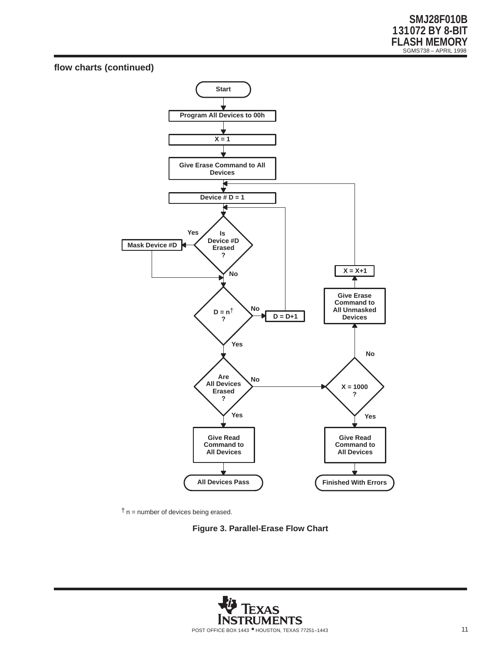## **flow charts (continued)**





**Figure 3. Parallel-Erase Flow Chart**

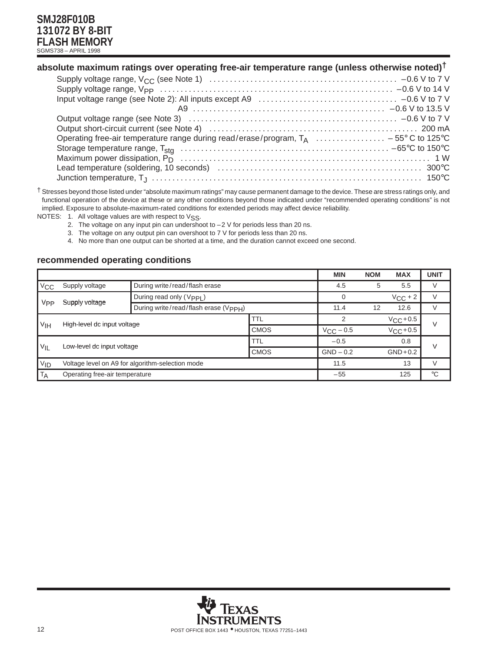| absolute maximum ratings over operating free-air temperature range (unless otherwise noted) <sup>†</sup> |  |  |  |
|----------------------------------------------------------------------------------------------------------|--|--|--|
|                                                                                                          |  |  |  |

| Operating free-air temperature range during read/erase/program, $T_A$ – 55° C to 125° C |  |
|-----------------------------------------------------------------------------------------|--|
|                                                                                         |  |
|                                                                                         |  |
|                                                                                         |  |
|                                                                                         |  |

† Stresses beyond those listed under "absolute maximum ratings" may cause permanent damage to the device. These are stress ratings only, and functional operation of the device at these or any other conditions beyond those indicated under "recommended operating conditions" is not implied. Exposure to absolute-maximum-rated conditions for extended periods may affect device reliability.

NOTES: 1. All voltage values are with respect to VSS.

- 2. The voltage on any input pin can undershoot to  $-2$  V for periods less than 20 ns.
- 3. The voltage on any output pin can overshoot to 7 V for periods less than 20 ns.
- 4. No more than one output can be shorted at a time, and the duration cannot exceed one second.

## **recommended operating conditions**

|                                                                                 |                                                  |                               |             | <b>MIN</b> | <b>NOM</b>        | <b>MAX</b>   | <b>UNIT</b> |  |
|---------------------------------------------------------------------------------|--------------------------------------------------|-------------------------------|-------------|------------|-------------------|--------------|-------------|--|
| $V_{CC}$                                                                        | Supply voltage                                   | During write/read/flash erase |             | 4.5        | 5                 | 5.5          | V           |  |
|                                                                                 |                                                  | During read only (Vpp)        |             |            |                   | $V_{CC} + 2$ | V           |  |
| Supply voltage<br><b>V<sub>PP</sub></b><br>During write/read/flash erase (VppH) |                                                  |                               | 11.4        | 12         | 12.6              |              |             |  |
| V <sub>IH</sub><br>High-level dc input voltage                                  |                                                  | TTL                           |             |            | $V_{\rm CC}$ +0.5 | $\vee$       |             |  |
|                                                                                 | <b>CMOS</b>                                      | $V_{\rm CC}$ – 0.5            |             | $VCC+0.5$  |                   |              |             |  |
|                                                                                 |                                                  |                               | TTL         | $-0.5$     |                   | 0.8          | V           |  |
| $V_{IL}$<br>Low-level dc input voltage                                          |                                                  | <b>CMOS</b>                   | $GND - 0.2$ |            | $GND + 0.2$       |              |             |  |
| <b>VID</b>                                                                      | Voltage level on A9 for algorithm-selection mode |                               |             | 11.5       |                   | 13           | $\vee$      |  |
| T <sub>A</sub>                                                                  | Operating free-air temperature                   |                               |             | $-55$      |                   | 125          | $^{\circ}C$ |  |

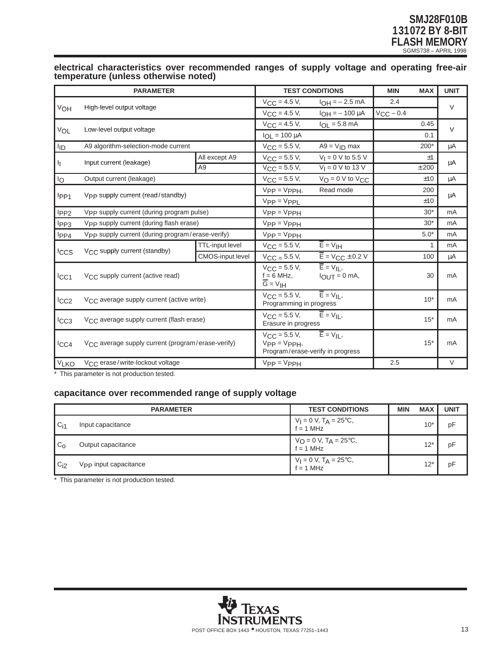#### **electrical characteristics over recommended ranges of supply voltage and operating free-air temperature (unless otherwise noted)**

|                  | <b>PARAMETER</b>                                              |                         |                                                                            | <b>TEST CONDITIONS</b>                                                 | <b>MIN</b>     | <b>MAX</b>   | <b>UNIT</b> |
|------------------|---------------------------------------------------------------|-------------------------|----------------------------------------------------------------------------|------------------------------------------------------------------------|----------------|--------------|-------------|
|                  | High-level output voltage                                     |                         | $V_{\text{CC}} = 4.5 V,$                                                   | $I_{OH} = -2.5$ mA                                                     | 2.4            |              | $\vee$      |
| VOH              |                                                               |                         | $V_{CC} = 4.5 V,$                                                          | $I_{OH} = -100 \mu A$                                                  | $V_{CC}$ – 0.4 |              |             |
|                  | Low-level output voltage                                      |                         | $V_{CC} = 4.5 V,$                                                          | $I_{OL} = 5.8$ mA                                                      |                | 0.45         | $\vee$      |
| VOL              |                                                               |                         | $I_{OL} = 100 \mu A$                                                       |                                                                        |                | 0.1          |             |
| lıd              | A9 algorithm-selection-mode current                           |                         | $V_{CC}$ = 5.5 V,                                                          | $A9 = V_{ID}$ max                                                      |                | $200*$       | μA          |
|                  |                                                               | All except A9           | $V_{CC} = 5.5 V,$                                                          | $V_1 = 0$ V to 5.5 V                                                   |                | ±1           |             |
| łį.              | Input current (leakage)                                       | A <sub>9</sub>          | $V_{CC} = 5.5 V,$                                                          | $V_I = 0$ V to 13 V                                                    |                | ± 200        | μA          |
| 1 <sub>O</sub>   | Output current (leakage)                                      |                         | $V_{CC}$ = 5.5 V,                                                          | $V_{\Omega} = 0$ V to $V_{\Omega}$                                     |                | ±10          | μA          |
|                  |                                                               |                         | $V_{PP} = V_{PPH}$                                                         | Read mode                                                              |                | 200          |             |
| l <sub>PP1</sub> | V <sub>PP</sub> supply current (read/standby)                 |                         | $V_{PP} = V_{PPL}$                                                         |                                                                        |                | ±10          | μA          |
| l <sub>PP2</sub> | V <sub>PP</sub> supply current (during program pulse)         |                         | $V_{PP} = V_{PPH}$                                                         |                                                                        |                | $30*$        | mA          |
| l <sub>PP3</sub> | Vpp supply current (during flash erase)                       |                         | $VPP = VPPH$                                                               |                                                                        |                | $30*$        | mA          |
| l <sub>PP4</sub> | Vpp supply current (during program/erase-verify)              |                         | $V_{PP} = V_{PPH}$                                                         |                                                                        |                | $5.0*$       | mA          |
|                  |                                                               | <b>TTL-input level</b>  | $V_{\text{CC}} = 5.5 V,$                                                   | $\overline{E}$ = $V$ <sub>IH</sub>                                     |                | $\mathbf{1}$ | mA          |
| Iccs             | V <sub>CC</sub> supply current (standby)                      | <b>CMOS-input level</b> | $V_{\text{CC}} = 5.5 V,$                                                   | $\overline{E}$ = V <sub>CC</sub> $\pm$ 0.2 V                           |                | 100          | μA          |
| ICC1             | V <sub>CC</sub> supply current (active read)                  |                         | $V_{\text{CC}} = 5.5 V,$<br>$f = 6$ MHz.<br>$\overline{G} = V_{\text{IH}}$ | $\overline{E}$ = $V_{IL}$ ,<br>$I_{\text{OUT}} = 0$ mA,                |                | 30           | mA          |
| I <sub>CC2</sub> | V <sub>CC</sub> average supply current (active write)         |                         | $V_{\text{CC}} = 5.5 V,$<br>Programming in progress                        | $\overline{E}$ = $V_{II}$ ,                                            |                | $10*$        | mA          |
| ICC3             | V <sub>CC</sub> average supply current (flash erase)          |                         | $V_{\rm CC}$ = 5.5 V,<br>Erasure in progress                               | $\overline{E} = V_{IL}$                                                |                | $15*$        | mA          |
| ICC4             | V <sub>CC</sub> average supply current (program/erase-verify) |                         | $V_{\rm CC} = 5.5 V,$<br>$VPP = VPPH,$                                     | $\overline{E}$ = V <sub>II</sub> ,<br>Program/erase-verify in progress |                | $15*$        | mA          |
| V <sub>LKO</sub> | V <sub>CC</sub> erase/write-lockout voltage                   |                         | $VPP = VPPH$                                                               |                                                                        | 2.5            |              | $\vee$      |

\* This parameter is not production tested.

## **capacitance over recommended range of supply voltage**

|                | <b>PARAMETER</b>      | <b>TEST CONDITIONS</b>                             | <b>MIN</b> | <b>MAX</b> | <b>UNIT</b> |
|----------------|-----------------------|----------------------------------------------------|------------|------------|-------------|
| $C_{11}$       | Input capacitance     | $V_1 = 0 V$ , $T_A = 25^{\circ}C$ ,<br>$f = 1$ MHz |            | $10*$      | pF          |
| C <sub>O</sub> | Output capacitance    | $V_O = 0 V$ , $T_A = 25$ °C,<br>f = 1 MHz          |            | $12*$      | pF          |
| $C_{12}$       | Vpp input capacitance | $V_1 = 0 V$ , $T_A = 25^{\circ}C$ ,<br>$f = 1$ MHz |            | $12*$      | рF          |

\* This parameter is not production tested.

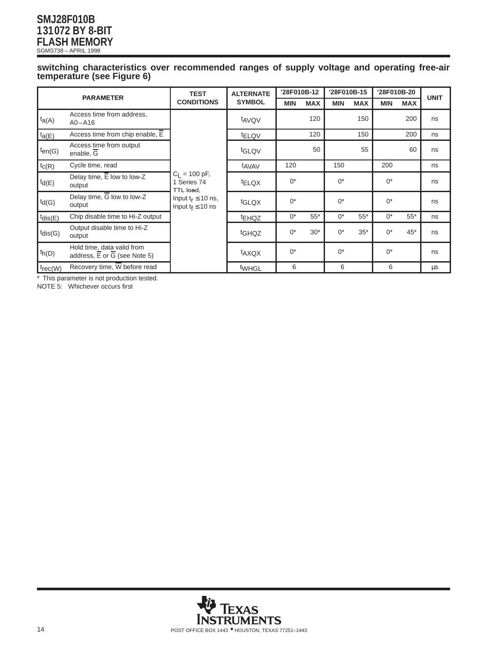#### **switching characteristics over recommended ranges of supply voltage and operating free-air temperature (see Figure 6)**

| <b>PARAMETER</b> |                                                                                      | <b>TEST</b>                                                                                               | <b>ALTERNATE</b>  | '28F010B-12 |            | '28F010B-15 |            | '28F010B-20 |            | <b>UNIT</b> |
|------------------|--------------------------------------------------------------------------------------|-----------------------------------------------------------------------------------------------------------|-------------------|-------------|------------|-------------|------------|-------------|------------|-------------|
|                  |                                                                                      | <b>CONDITIONS</b>                                                                                         | <b>SYMBOL</b>     | <b>MIN</b>  | <b>MAX</b> | <b>MIN</b>  | <b>MAX</b> | <b>MIN</b>  | <b>MAX</b> |             |
| $t_{a(A)}$       | Access time from address,<br>$A0 - A16$                                              |                                                                                                           | t <sub>AVQV</sub> |             | 120        |             | 150        |             | 200        | ns          |
| $t_{a(E)}$       | Access time from chip enable, E                                                      |                                                                                                           | <b>ELQV</b>       |             | 120        |             | 150        |             | 200        | ns          |
| $t_{en(G)}$      | Access time from output<br>enable, G                                                 |                                                                                                           | tGLQV             |             | 50         |             | 55         |             | 60         | ns          |
| $t_{C(R)}$       | Cycle time, read                                                                     | $C_1 = 100 \text{ pF}$ ,<br>1 Series 74<br>TTL load,<br>Input $t_r \leq 10$ ns,<br>Input $t_f \leq 10$ ns | t <sub>AVAV</sub> | 120         |            | 150         |            | 200         |            | ns          |
| $td(E)$          | Delay time, $\overline{E}$ low to low-Z<br>output                                    |                                                                                                           | <sup>t</sup> ELQX | $0^*$       |            | $0^*$       |            | $0^*$       |            | ns          |
| $td(G)$          | Delay time, G low to low-Z<br>output                                                 |                                                                                                           | tGLQX             | $0^*$       |            | $0^*$       |            | $0^*$       |            | ns          |
| $t$ dis(E)       | Chip disable time to Hi-Z output                                                     |                                                                                                           | <b>EHQZ</b>       | $0^*$       | $55*$      | $0^*$       | $55*$      | $0^*$       | $55*$      | ns          |
| $t$ dis(G)       | Output disable time to Hi-Z<br>output                                                |                                                                                                           | tGHQZ             | $0^*$       | $30*$      | $0^*$       | $35*$      | $0^*$       | $45*$      | ns          |
| $th(D)$          | Hold time, data valid from<br>address, $\overline{E}$ or $\overline{G}$ (see Note 5) |                                                                                                           | taxox             | $0^*$       |            | $0^*$       |            | $0^*$       |            | ns          |
| $t_{rec(W)}$     | Recovery time, $\overline{W}$ before read                                            |                                                                                                           | t <sub>WHGL</sub> | 6           |            | 6           |            | 6           |            | μs          |

\* This parameter is not production tested.

NOTE 5: Whichever occurs first

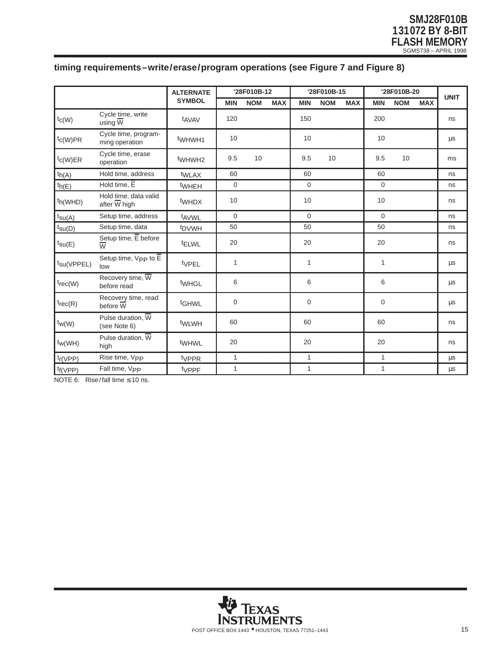# **timing requirements–write/erase/program operations (see Figure 7 and Figure 8)**

|                                                           |                                              | <b>ALTERNATE</b>   | '28F010B-12    |            | '28F010B-15 |             |            | '28F010B-20 |              |            | <b>UNIT</b> |         |
|-----------------------------------------------------------|----------------------------------------------|--------------------|----------------|------------|-------------|-------------|------------|-------------|--------------|------------|-------------|---------|
|                                                           |                                              | <b>SYMBOL</b>      | <b>MIN</b>     | <b>NOM</b> | <b>MAX</b>  | <b>MIN</b>  | <b>NOM</b> | <b>MAX</b>  | <b>MIN</b>   | <b>NOM</b> | <b>MAX</b>  |         |
| $t_{C(W)}$                                                | Cycle time, write<br>using $\overline{W}$    | t <sub>AVAV</sub>  | 120            |            |             | 150         |            |             | 200          |            |             | ns      |
| $\mathsf{t}_{\mathsf{C}(\mathsf{W})\mathsf{P}\mathsf{R}}$ | Cycle time, program-<br>ming operation       | t <sub>WHWH1</sub> | 10             |            |             | 10          |            |             | 10           |            |             | μs      |
| $t_{C(W)ER}$                                              | Cycle time, erase<br>operation               | t <sub>WHWH2</sub> | 9.5            | 10         |             | 9.5         | 10         |             | 9.5          | 10         |             | ms      |
| th(A)                                                     | Hold time, address                           | twLAX              | 60             |            |             | 60          |            |             | 60           |            |             | ns      |
| ${}^{\text{th}}$ (E)                                      | Hold time, $E$                               | twheh              | $\mathbf 0$    |            |             | $\mathbf 0$ |            |             | $\mathbf 0$  |            |             | ns      |
| th(WHD)                                                   | Hold time, data valid<br>after W high        | twhDX              | 10             |            |             | 10          |            |             | 10           |            |             | ns      |
| $t_{\text{SU(A)}}$                                        | Setup time, address                          | t <sub>AVWL</sub>  | $\Omega$       |            |             | $\Omega$    |            |             | $\Omega$     |            |             | ns      |
| $t_{\text{SU}(D)}$                                        | Setup time, data                             | t <sub>DVWH</sub>  | 50             |            |             | 50          |            |             | 50           |            |             | ns      |
| $t_{\text{SU}}(E)$                                        | Setup time, E before<br>$\overline{w}$       | <sup>t</sup> ELWL  | 20             |            |             | 20          |            |             | 20           |            |             | ns      |
| $t_{\text{SU}}$ (VPPEL)                                   | Setup time, $V_{PP}$ to $E$<br>low           | typeL              | $\mathbf{1}$   |            |             | 1           |            |             | $\mathbf{1}$ |            |             | $\mu s$ |
| $\text{tree}(W)$                                          | Recovery time, $\overline{W}$<br>before read | twhGL              | 6              |            |             | 6           |            |             | 6            |            |             | $\mu s$ |
| $\text{trace}(R)$                                         | Recovery time, read<br>before $\overline{W}$ | tGHWL              | $\overline{0}$ |            |             | $\mathbf 0$ |            |             | $\mathbf 0$  |            |             | μs      |
| $\mathsf{t}_{\mathsf{W}(\mathsf{W})}$                     | Pulse duration, W<br>(see Note 6)            | twLwH              | 60             |            |             | 60          |            |             | 60           |            |             | ns      |
| $\mathsf{t}_{\mathsf{W}(\mathsf{W}\mathsf{H})}$           | Pulse duration, $\overline{W}$<br>high       | twhwL              | 20             |            |             | 20          |            |             | 20           |            |             | ns      |
| $t_{r(VPP)}$                                              | Rise time, V <sub>PP</sub>                   | <sup>t</sup> VPPR  | $\mathbf{1}$   |            |             | 1           |            |             | $\mathbf{1}$ |            |             | $\mu s$ |
| t <sub>f</sub> (VPP)                                      | Fall time, Vpp                               | tvPPF              | $\mathbf{1}$   |            |             | 1           |            |             | $\mathbf{1}$ |            |             | μs      |

NOTE 6: Rise/fall time  $\leq 10$  ns.

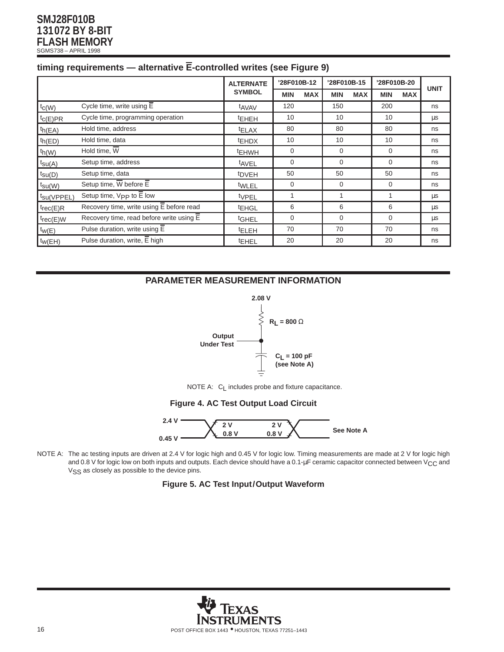| timing requirements — alternative E-controlled writes (see Figure 9) |  |  |  |
|----------------------------------------------------------------------|--|--|--|
|                                                                      |  |  |  |
|                                                                      |  |  |  |
|                                                                      |  |  |  |

|                         |                                                       | <b>ALTERNATE</b>  | '28F010B-12 |            | '28F010B-15 |            | '28F010B-20 |            |             |
|-------------------------|-------------------------------------------------------|-------------------|-------------|------------|-------------|------------|-------------|------------|-------------|
|                         |                                                       | <b>SYMBOL</b>     | <b>MIN</b>  | <b>MAX</b> | <b>MIN</b>  | <b>MAX</b> | <b>MIN</b>  | <b>MAX</b> | <b>UNIT</b> |
| $t_{C(W)}$              | Cycle time, write using $\overline{E}$                | t <sub>AVAV</sub> | 120         |            | 150         |            | 200         |            | ns          |
| $t_{C}(E)PR$            | Cycle time, programming operation                     | <b>EHEH</b>       | 10          |            | 10          |            | 10          |            | μs          |
| ${}^t h(EA)$            | Hold time, address                                    | <sup>t</sup> ELAX | 80          |            | 80          |            | 80          |            | ns          |
| $th(ED)$                | Hold time, data                                       | <sup>t</sup> EHDX | 10          |            | 10          |            | 10          |            | ns          |
| $t_h(W)$                | Hold time, $\overline{W}$                             | <sup>t</sup> EHWH | 0           |            | 0           |            | 0           |            | ns          |
| $t_{\text{SU(A)}}$      | Setup time, address                                   | tAVEL             | 0           |            | $\Omega$    |            | $\Omega$    |            | ns          |
| $t_{\text{SU}}(D)$      | Setup time, data                                      | <sup>t</sup> DVEH | 50          |            | 50          |            | 50          |            | ns          |
| $t_{\text{SU}}(W)$      | Setup time, $\overline{W}$ before $\overline{E}$      | tWLEL             | $\mathbf 0$ |            | $\Omega$    |            | $\mathbf 0$ |            | ns          |
| t <sub>su</sub> (VPPEL) | Setup time, $V_{PP}$ to $\overline{E}$ low            | tvPEL             | 1           |            |             |            | 1           |            | μs          |
| $t_{rec(E)R}$           | Recovery time, write using $\overline{E}$ before read | <sup>t</sup> EHGL | 6           |            | 6           |            | 6           |            | μs          |
| $t_{rec(E)W}$           | Recovery time, read before write using $\overline{E}$ | <sup>t</sup> GHEL | 0           |            | $\Omega$    |            | $\Omega$    |            | $\mu$ s     |
| $t_{W}(E)$              | Pulse duration, write using $\overline{E}$            | <b>IELEH</b>      | 70          |            | 70          |            | 70          |            | ns          |
| $t_{W}$ (EH)            | Pulse duration, write, $\overline{E}$ high            | <b>EHEL</b>       | 20          |            | 20          |            | 20          |            | ns          |

## **PARAMETER MEASUREMENT INFORMATION**



NOTE A: C<sub>L</sub> includes probe and fixture capacitance.

## **Figure 4. AC Test Output Load Circuit**



NOTE A: The ac testing inputs are driven at 2.4 V for logic high and 0.45 V for logic low. Timing measurements are made at 2 V for logic high and 0.8 V for logic low on both inputs and outputs. Each device should have a 0.1-µF ceramic capacitor connected between V<sub>CC</sub> and V<sub>SS</sub> as closely as possible to the device pins.

## **Figure 5. AC Test Input/Output Waveform**

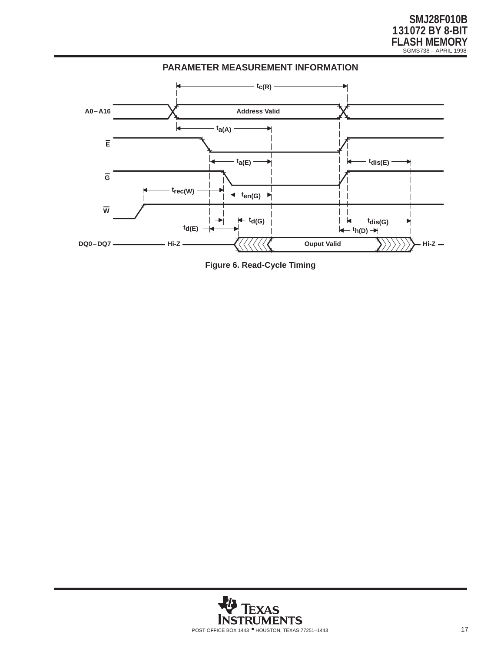

**Figure 6. Read-Cycle Timing**

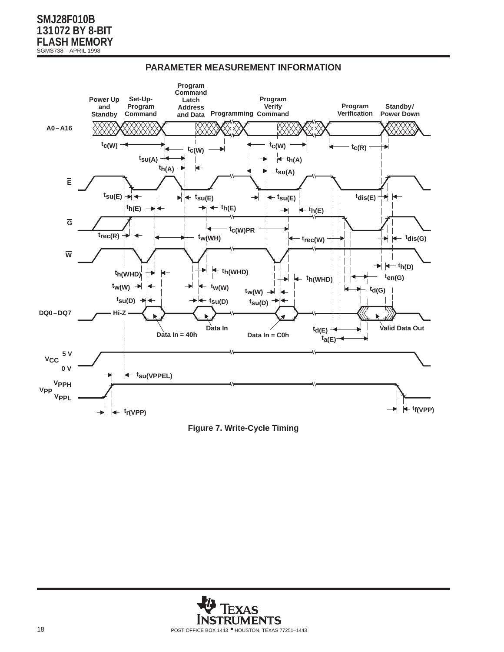

## **PARAMETER MEASUREMENT INFORMATION**



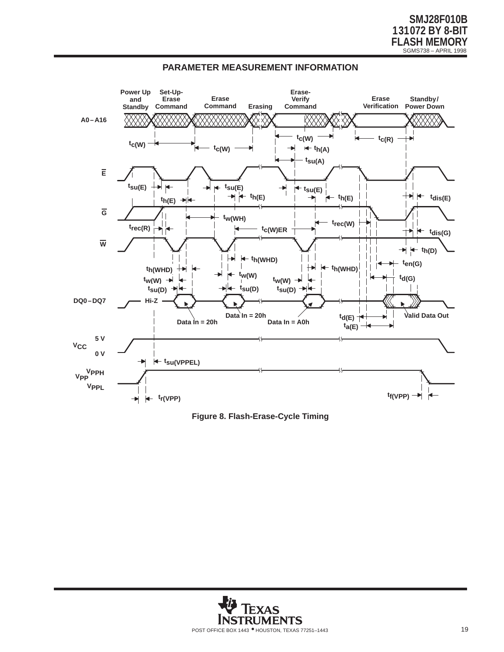



**Figure 8. Flash-Erase-Cycle Timing**

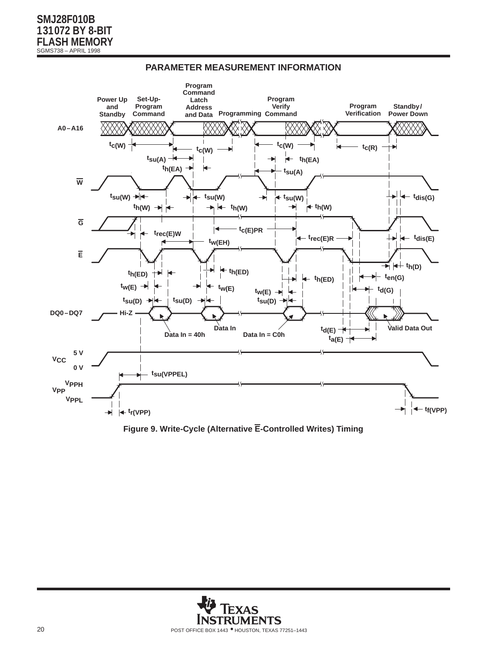

## **PARAMETER MEASUREMENT INFORMATION**

**Figure 9. Write-Cycle (Alternative E-Controlled Writes) Timing**

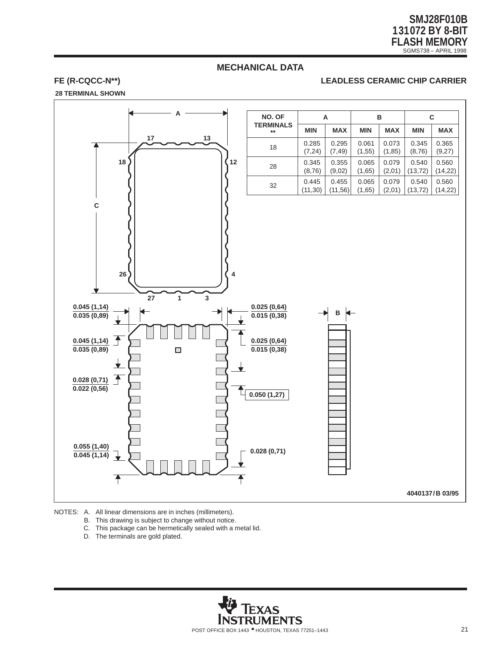## **MECHANICAL DATA**

#### **FE (R-CQCC-N\*\*) LEADLESS CERAMIC CHIP CARRIER**

**28 TERMINAL SHOWN**



NOTES: A. All linear dimensions are in inches (millimeters).

- B. This drawing is subject to change without notice.
- C. This package can be hermetically sealed with a metal lid.
- D. The terminals are gold plated.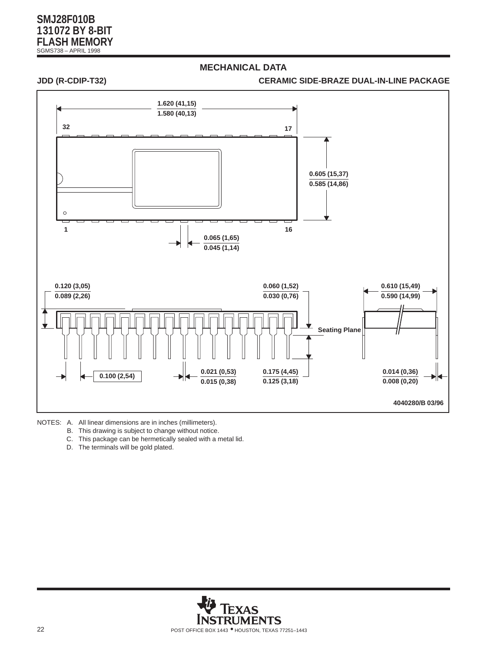## **MECHANICAL DATA**

#### **JDD (R-CDIP-T32) CERAMIC SIDE-BRAZE DUAL-IN-LINE PACKAGE**



NOTES: A. All linear dimensions are in inches (millimeters).

- B. This drawing is subject to change without notice.
- C. This package can be hermetically sealed with a metal lid.
- D. The terminals will be gold plated.